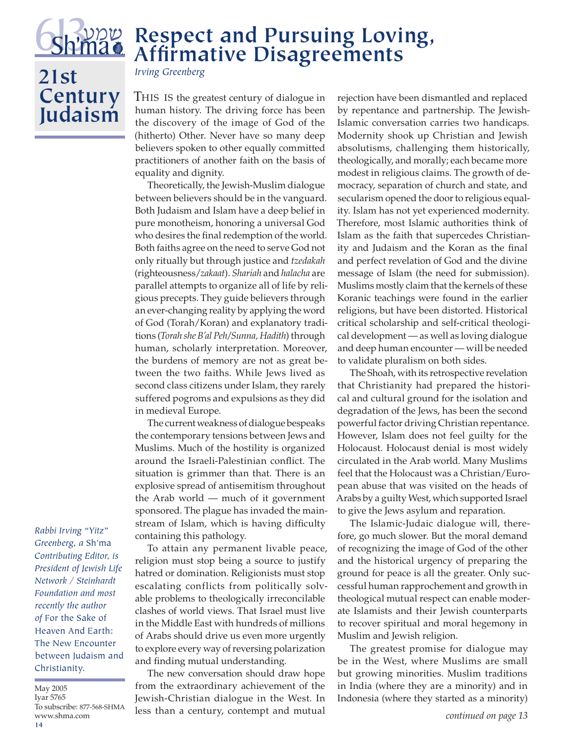

## **Respect and Pursuing Loving, Affirmative Disagreements**

## **21st Century Judaism**

*Irving Greenberg*

THIS IS the greatest century of dialogue in human history. The driving force has been the discovery of the image of God of the (hitherto) Other. Never have so many deep believers spoken to other equally committed practitioners of another faith on the basis of equality and dignity.

Theoretically, the Jewish-Muslim dialogue between believers should be in the vanguard. Both Judaism and Islam have a deep belief in pure monotheism, honoring a universal God who desires the final redemption of the world. Both faiths agree on the need to serve God not only ritually but through justice and *tzedakah* (righteousness/*zakaat*). *Shariah* and *halacha* are parallel attempts to organize all of life by religious precepts. They guide believers through an ever-changing reality by applying the word of God (Torah/Koran) and explanatory traditions (*Torah she B'al Peh/Sunna, Hadith*) through human, scholarly interpretation. Moreover, the burdens of memory are not as great between the two faiths. While Jews lived as second class citizens under Islam, they rarely suffered pogroms and expulsions as they did in medieval Europe.

The current weakness of dialogue bespeaks the contemporary tensions between Jews and Muslims. Much of the hostility is organized around the Israeli-Palestinian conflict. The situation is grimmer than that. There is an explosive spread of antisemitism throughout the Arab world — much of it government sponsored. The plague has invaded the mainstream of Islam, which is having difficulty containing this pathology.

To attain any permanent livable peace, religion must stop being a source to justify hatred or domination. Religionists must stop escalating conflicts from politically solvable problems to theologically irreconcilable clashes of world views. That Israel must live in the Middle East with hundreds of millions of Arabs should drive us even more urgently to explore every way of reversing polarization and finding mutual understanding.

The new conversation should draw hope from the extraordinary achievement of the Jewish-Christian dialogue in the West. In less than a century, contempt and mutual rejection have been dismantled and replaced by repentance and partnership. The Jewish-Islamic conversation carries two handicaps. Modernity shook up Christian and Jewish absolutisms, challenging them historically, theologically, and morally; each became more modest in religious claims. The growth of democracy, separation of church and state, and secularism opened the door to religious equality. Islam has not yet experienced modernity. Therefore, most Islamic authorities think of Islam as the faith that supercedes Christianity and Judaism and the Koran as the final and perfect revelation of God and the divine message of Islam (the need for submission). Muslims mostly claim that the kernels of these Koranic teachings were found in the earlier religions, but have been distorted. Historical critical scholarship and self-critical theological development — as well as loving dialogue and deep human encounter — will be needed to validate pluralism on both sides.

The Shoah, with its retrospective revelation that Christianity had prepared the historical and cultural ground for the isolation and degradation of the Jews, has been the second powerful factor driving Christian repentance. However, Islam does not feel guilty for the Holocaust. Holocaust denial is most widely circulated in the Arab world. Many Muslims feel that the Holocaust was a Christian/European abuse that was visited on the heads of Arabs by a guilty West, which supported Israel to give the Jews asylum and reparation.

The Islamic-Judaic dialogue will, therefore, go much slower. But the moral demand of recognizing the image of God of the other and the historical urgency of preparing the ground for peace is all the greater. Only successful human rapprochement and growth in theological mutual respect can enable moderate Islamists and their Jewish counterparts to recover spiritual and moral hegemony in Muslim and Jewish religion.

The greatest promise for dialogue may be in the West, where Muslims are small but growing minorities. Muslim traditions in India (where they are a minority) and in Indonesia (where they started as a minority)

*Rabbi Irving "Yitz" Greenberg, a* Sh'ma *Contributing Editor, is President of Jewish Life Network / Steinhardt Foundation and most recently the author of* For the Sake of Heaven And Earth: The New Encounter between Judaism and Christianity.

**14** May 2005 Iyar 5765 To subscribe: 877-568-SHMA www.shma.com